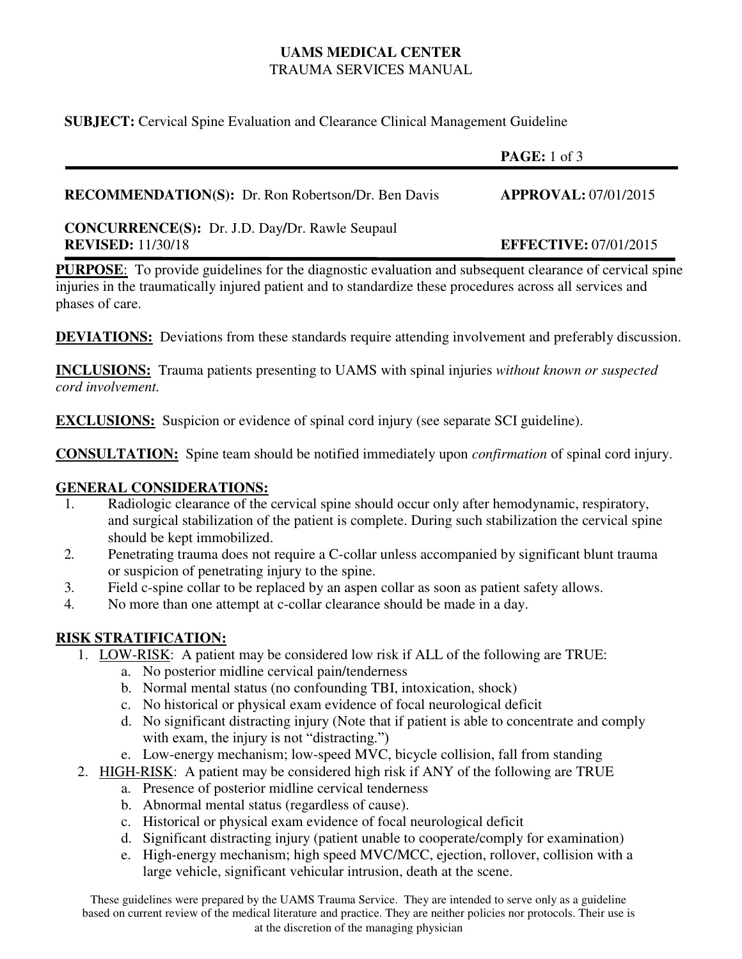## **UAMS MEDICAL CENTER**  TRAUMA SERVICES MANUAL

**SUBJECT:** Cervical Spine Evaluation and Clearance Clinical Management Guideline

|                                                                                   | PAGE: 1 of 3                 |
|-----------------------------------------------------------------------------------|------------------------------|
| <b>RECOMMENDATION(S):</b> Dr. Ron Robertson/Dr. Ben Davis                         | <b>APPROVAL: 07/01/2015</b>  |
| <b>CONCURRENCE(S):</b> Dr. J.D. Day/Dr. Rawle Seupaul<br><b>REVISED:</b> 11/30/18 | <b>EFFECTIVE: 07/01/2015</b> |

**PURPOSE:** To provide guidelines for the diagnostic evaluation and subsequent clearance of cervical spine injuries in the traumatically injured patient and to standardize these procedures across all services and phases of care.

**DEVIATIONS:** Deviations from these standards require attending involvement and preferably discussion.

**INCLUSIONS:** Trauma patients presenting to UAMS with spinal injuries *without known or suspected cord involvement.* 

**EXCLUSIONS:** Suspicion or evidence of spinal cord injury (see separate SCI guideline).

**CONSULTATION:** Spine team should be notified immediately upon *confirmation* of spinal cord injury.

### **GENERAL CONSIDERATIONS:**

- 1. Radiologic clearance of the cervical spine should occur only after hemodynamic, respiratory, and surgical stabilization of the patient is complete. During such stabilization the cervical spine should be kept immobilized.
- 2. Penetrating trauma does not require a C-collar unless accompanied by significant blunt trauma or suspicion of penetrating injury to the spine.
- 3. Field c-spine collar to be replaced by an aspen collar as soon as patient safety allows.
- 4. No more than one attempt at c-collar clearance should be made in a day.

## **RISK STRATIFICATION:**

- 1. LOW-RISK: A patient may be considered low risk if ALL of the following are TRUE:
	- a. No posterior midline cervical pain/tenderness
	- b. Normal mental status (no confounding TBI, intoxication, shock)
	- c. No historical or physical exam evidence of focal neurological deficit
	- d. No significant distracting injury (Note that if patient is able to concentrate and comply with exam, the injury is not "distracting.")
	- e. Low-energy mechanism; low-speed MVC, bicycle collision, fall from standing
- 2. HIGH-RISK: A patient may be considered high risk if ANY of the following are TRUE
	- a. Presence of posterior midline cervical tenderness
	- b. Abnormal mental status (regardless of cause).
	- c. Historical or physical exam evidence of focal neurological deficit
	- d. Significant distracting injury (patient unable to cooperate/comply for examination)
	- e. High-energy mechanism; high speed MVC/MCC, ejection, rollover, collision with a large vehicle, significant vehicular intrusion, death at the scene.

These guidelines were prepared by the UAMS Trauma Service. They are intended to serve only as a guideline based on current review of the medical literature and practice. They are neither policies nor protocols. Their use is at the discretion of the managing physician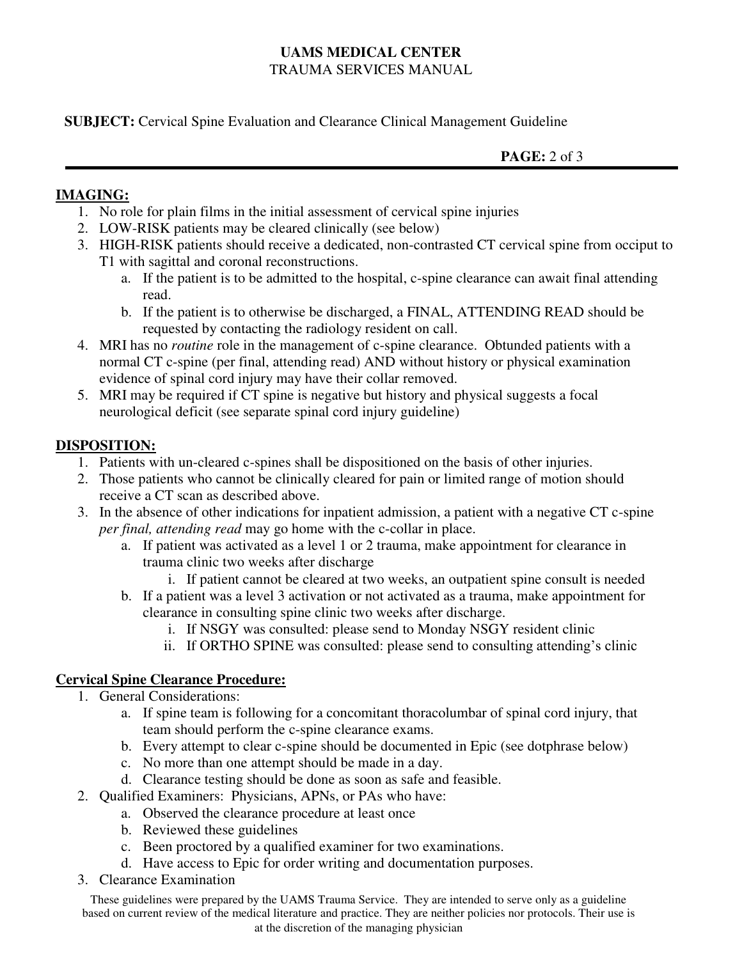# **UAMS MEDICAL CENTER**  TRAUMA SERVICES MANUAL

**SUBJECT:** Cervical Spine Evaluation and Clearance Clinical Management Guideline

**PAGE:** 2 of 3

## **IMAGING:**

- 1. No role for plain films in the initial assessment of cervical spine injuries
- 2. LOW-RISK patients may be cleared clinically (see below)
- 3. HIGH-RISK patients should receive a dedicated, non-contrasted CT cervical spine from occiput to T1 with sagittal and coronal reconstructions.
	- a. If the patient is to be admitted to the hospital, c-spine clearance can await final attending read.
	- b. If the patient is to otherwise be discharged, a FINAL, ATTENDING READ should be requested by contacting the radiology resident on call.
- 4. MRI has no *routine* role in the management of c-spine clearance. Obtunded patients with a normal CT c-spine (per final, attending read) AND without history or physical examination evidence of spinal cord injury may have their collar removed.
- 5. MRI may be required if CT spine is negative but history and physical suggests a focal neurological deficit (see separate spinal cord injury guideline)

# **DISPOSITION:**

- 1. Patients with un-cleared c-spines shall be dispositioned on the basis of other injuries.
- 2. Those patients who cannot be clinically cleared for pain or limited range of motion should receive a CT scan as described above.
- 3. In the absence of other indications for inpatient admission, a patient with a negative CT c-spine *per final, attending read* may go home with the c-collar in place.
	- a. If patient was activated as a level 1 or 2 trauma, make appointment for clearance in trauma clinic two weeks after discharge
		- i. If patient cannot be cleared at two weeks, an outpatient spine consult is needed
	- b. If a patient was a level 3 activation or not activated as a trauma, make appointment for clearance in consulting spine clinic two weeks after discharge.
		- i. If NSGY was consulted: please send to Monday NSGY resident clinic
		- ii. If ORTHO SPINE was consulted: please send to consulting attending's clinic

# **Cervical Spine Clearance Procedure:**

- 1. General Considerations:
	- a. If spine team is following for a concomitant thoracolumbar of spinal cord injury, that team should perform the c-spine clearance exams.
	- b. Every attempt to clear c-spine should be documented in Epic (see dotphrase below)
	- c. No more than one attempt should be made in a day.
	- d. Clearance testing should be done as soon as safe and feasible.
- 2. Qualified Examiners: Physicians, APNs, or PAs who have:
	- a. Observed the clearance procedure at least once
		- b. Reviewed these guidelines
		- c. Been proctored by a qualified examiner for two examinations.
		- d. Have access to Epic for order writing and documentation purposes.
- 3. Clearance Examination

These guidelines were prepared by the UAMS Trauma Service. They are intended to serve only as a guideline based on current review of the medical literature and practice. They are neither policies nor protocols. Their use is at the discretion of the managing physician